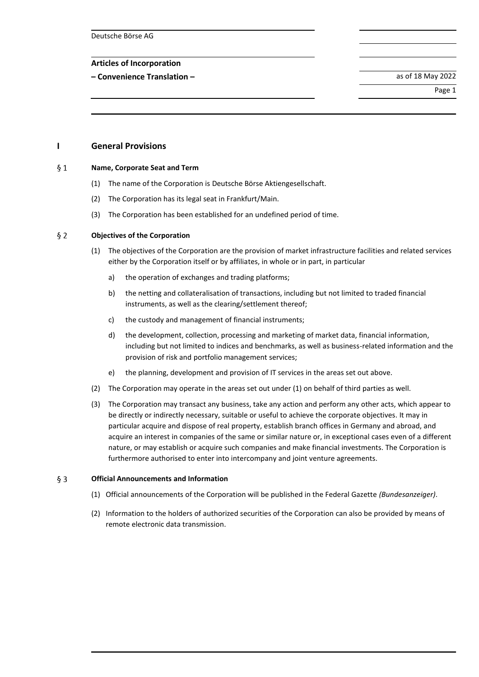Deutsche Börse AG

## **Articles of Incorporation**

**– Convenience Translation –** as of 18 May 2022

Page 1

# **I General Provisions**

#### $§ 1$ **Name, Corporate Seat and Term**

- (1) The name of the Corporation is Deutsche Börse Aktiengesellschaft.
- (2) The Corporation has its legal seat in Frankfurt/Main.
- (3) The Corporation has been established for an undefined period of time.

#### $§$  2 **Objectives of the Corporation**

- (1) The objectives of the Corporation are the provision of market infrastructure facilities and related services either by the Corporation itself or by affiliates, in whole or in part, in particular
	- a) the operation of exchanges and trading platforms;
	- b) the netting and collateralisation of transactions, including but not limited to traded financial instruments, as well as the clearing/settlement thereof;
	- c) the custody and management of financial instruments;
	- d) the development, collection, processing and marketing of market data, financial information, including but not limited to indices and benchmarks, as well as business-related information and the provision of risk and portfolio management services;
	- e) the planning, development and provision of IT services in the areas set out above.
- (2) The Corporation may operate in the areas set out under (1) on behalf of third parties as well.
- (3) The Corporation may transact any business, take any action and perform any other acts, which appear to be directly or indirectly necessary, suitable or useful to achieve the corporate objectives. It may in particular acquire and dispose of real property, establish branch offices in Germany and abroad, and acquire an interest in companies of the same or similar nature or, in exceptional cases even of a different nature, or may establish or acquire such companies and make financial investments. The Corporation is furthermore authorised to enter into intercompany and joint venture agreements.

#### $\S$  3 **Official Announcements and Information**

- (1) Official announcements of the Corporation will be published in the Federal Gazette *(Bundesanzeiger)*.
- (2) Information to the holders of authorized securities of the Corporation can also be provided by means of remote electronic data transmission.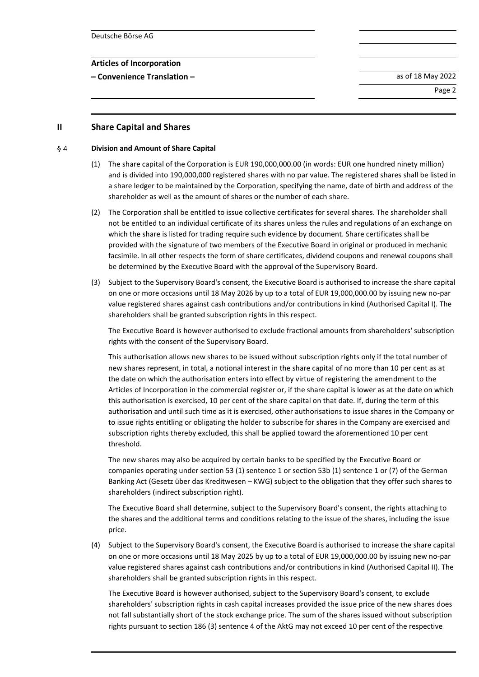**– Convenience Translation –** as of 18 May 2022

Page 2

**II Share Capital and Shares**

#### $\S$  4 **Division and Amount of Share Capital**

- (1) The share capital of the Corporation is EUR 190,000,000.00 (in words: EUR one hundred ninety million) and is divided into 190,000,000 registered shares with no par value. The registered shares shall be listed in a share ledger to be maintained by the Corporation, specifying the name, date of birth and address of the shareholder as well as the amount of shares or the number of each share.
- (2) The Corporation shall be entitled to issue collective certificates for several shares. The shareholder shall not be entitled to an individual certificate of its shares unless the rules and regulations of an exchange on which the share is listed for trading require such evidence by document. Share certificates shall be provided with the signature of two members of the Executive Board in original or produced in mechanic facsimile. In all other respects the form of share certificates, dividend coupons and renewal coupons shall be determined by the Executive Board with the approval of the Supervisory Board.
- (3) Subject to the Supervisory Board's consent, the Executive Board is authorised to increase the share capital on one or more occasions until 18 May 2026 by up to a total of EUR 19,000,000.00 by issuing new no-par value registered shares against cash contributions and/or contributions in kind (Authorised Capital I). The shareholders shall be granted subscription rights in this respect.

The Executive Board is however authorised to exclude fractional amounts from shareholders' subscription rights with the consent of the Supervisory Board.

This authorisation allows new shares to be issued without subscription rights only if the total number of new shares represent, in total, a notional interest in the share capital of no more than 10 per cent as at the date on which the authorisation enters into effect by virtue of registering the amendment to the Articles of Incorporation in the commercial register or, if the share capital is lower as at the date on which this authorisation is exercised, 10 per cent of the share capital on that date. If, during the term of this authorisation and until such time as it is exercised, other authorisations to issue shares in the Company or to issue rights entitling or obligating the holder to subscribe for shares in the Company are exercised and subscription rights thereby excluded, this shall be applied toward the aforementioned 10 per cent threshold.

The new shares may also be acquired by certain banks to be specified by the Executive Board or companies operating under section 53 (1) sentence 1 or section 53b (1) sentence 1 or (7) of the German Banking Act (Gesetz über das Kreditwesen – KWG) subject to the obligation that they offer such shares to shareholders (indirect subscription right).

The Executive Board shall determine, subject to the Supervisory Board's consent, the rights attaching to the shares and the additional terms and conditions relating to the issue of the shares, including the issue price.

(4) Subject to the Supervisory Board's consent, the Executive Board is authorised to increase the share capital on one or more occasions until 18 May 2025 by up to a total of EUR 19,000,000.00 by issuing new no-par value registered shares against cash contributions and/or contributions in kind (Authorised Capital II). The shareholders shall be granted subscription rights in this respect.

The Executive Board is however authorised, subject to the Supervisory Board's consent, to exclude shareholders' subscription rights in cash capital increases provided the issue price of the new shares does not fall substantially short of the stock exchange price. The sum of the shares issued without subscription rights pursuant to section 186 (3) sentence 4 of the AktG may not exceed 10 per cent of the respective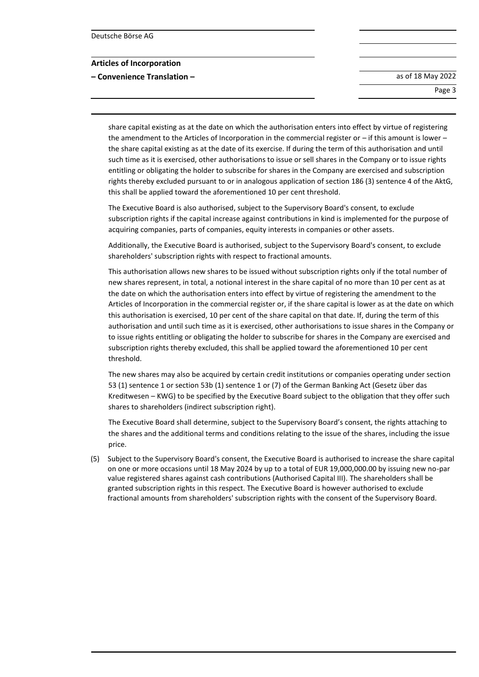**– Convenience Translation –** as of 18 May 2022

Page 3

share capital existing as at the date on which the authorisation enters into effect by virtue of registering the amendment to the Articles of Incorporation in the commercial register or – if this amount is lower – the share capital existing as at the date of its exercise. If during the term of this authorisation and until such time as it is exercised, other authorisations to issue or sell shares in the Company or to issue rights entitling or obligating the holder to subscribe for shares in the Company are exercised and subscription rights thereby excluded pursuant to or in analogous application of section 186 (3) sentence 4 of the AktG, this shall be applied toward the aforementioned 10 per cent threshold.

The Executive Board is also authorised, subject to the Supervisory Board's consent, to exclude subscription rights if the capital increase against contributions in kind is implemented for the purpose of acquiring companies, parts of companies, equity interests in companies or other assets.

Additionally, the Executive Board is authorised, subject to the Supervisory Board's consent, to exclude shareholders' subscription rights with respect to fractional amounts.

This authorisation allows new shares to be issued without subscription rights only if the total number of new shares represent, in total, a notional interest in the share capital of no more than 10 per cent as at the date on which the authorisation enters into effect by virtue of registering the amendment to the Articles of Incorporation in the commercial register or, if the share capital is lower as at the date on which this authorisation is exercised, 10 per cent of the share capital on that date. If, during the term of this authorisation and until such time as it is exercised, other authorisations to issue shares in the Company or to issue rights entitling or obligating the holder to subscribe for shares in the Company are exercised and subscription rights thereby excluded, this shall be applied toward the aforementioned 10 per cent threshold.

The new shares may also be acquired by certain credit institutions or companies operating under section 53 (1) sentence 1 or section 53b (1) sentence 1 or (7) of the German Banking Act (Gesetz über das Kreditwesen – KWG) to be specified by the Executive Board subject to the obligation that they offer such shares to shareholders (indirect subscription right).

The Executive Board shall determine, subject to the Supervisory Board's consent, the rights attaching to the shares and the additional terms and conditions relating to the issue of the shares, including the issue price.

(5) Subject to the Supervisory Board's consent, the Executive Board is authorised to increase the share capital on one or more occasions until 18 May 2024 by up to a total of EUR 19,000,000.00 by issuing new no-par value registered shares against cash contributions (Authorised Capital III). The shareholders shall be granted subscription rights in this respect. The Executive Board is however authorised to exclude fractional amounts from shareholders' subscription rights with the consent of the Supervisory Board.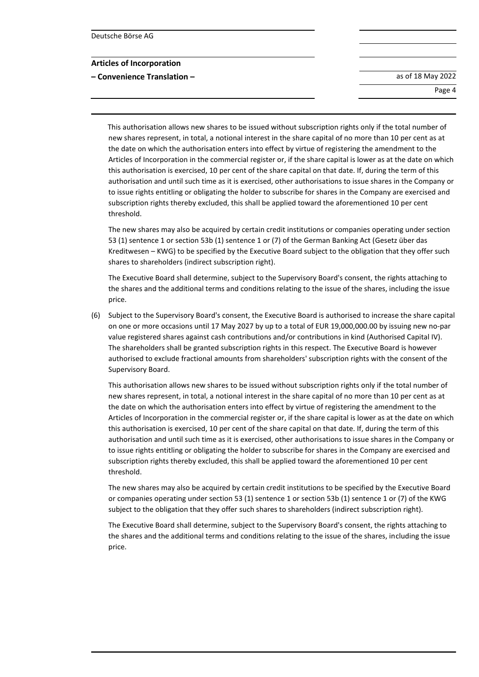**– Convenience Translation –** as of 18 May 2022

Page 4

This authorisation allows new shares to be issued without subscription rights only if the total number of new shares represent, in total, a notional interest in the share capital of no more than 10 per cent as at the date on which the authorisation enters into effect by virtue of registering the amendment to the Articles of Incorporation in the commercial register or, if the share capital is lower as at the date on which this authorisation is exercised, 10 per cent of the share capital on that date. If, during the term of this authorisation and until such time as it is exercised, other authorisations to issue shares in the Company or to issue rights entitling or obligating the holder to subscribe for shares in the Company are exercised and subscription rights thereby excluded, this shall be applied toward the aforementioned 10 per cent threshold.

The new shares may also be acquired by certain credit institutions or companies operating under section 53 (1) sentence 1 or section 53b (1) sentence 1 or (7) of the German Banking Act (Gesetz über das Kreditwesen – KWG) to be specified by the Executive Board subject to the obligation that they offer such shares to shareholders (indirect subscription right).

The Executive Board shall determine, subject to the Supervisory Board's consent, the rights attaching to the shares and the additional terms and conditions relating to the issue of the shares, including the issue price.

(6) Subject to the Supervisory Board's consent, the Executive Board is authorised to increase the share capital on one or more occasions until 17 May 2027 by up to a total of EUR 19,000,000.00 by issuing new no-par value registered shares against cash contributions and/or contributions in kind (Authorised Capital IV). The shareholders shall be granted subscription rights in this respect. The Executive Board is however authorised to exclude fractional amounts from shareholders' subscription rights with the consent of the Supervisory Board.

This authorisation allows new shares to be issued without subscription rights only if the total number of new shares represent, in total, a notional interest in the share capital of no more than 10 per cent as at the date on which the authorisation enters into effect by virtue of registering the amendment to the Articles of Incorporation in the commercial register or, if the share capital is lower as at the date on which this authorisation is exercised, 10 per cent of the share capital on that date. If, during the term of this authorisation and until such time as it is exercised, other authorisations to issue shares in the Company or to issue rights entitling or obligating the holder to subscribe for shares in the Company are exercised and subscription rights thereby excluded, this shall be applied toward the aforementioned 10 per cent threshold.

The new shares may also be acquired by certain credit institutions to be specified by the Executive Board or companies operating under section 53 (1) sentence 1 or section 53b (1) sentence 1 or (7) of the KWG subject to the obligation that they offer such shares to shareholders (indirect subscription right).

The Executive Board shall determine, subject to the Supervisory Board's consent, the rights attaching to the shares and the additional terms and conditions relating to the issue of the shares, including the issue price.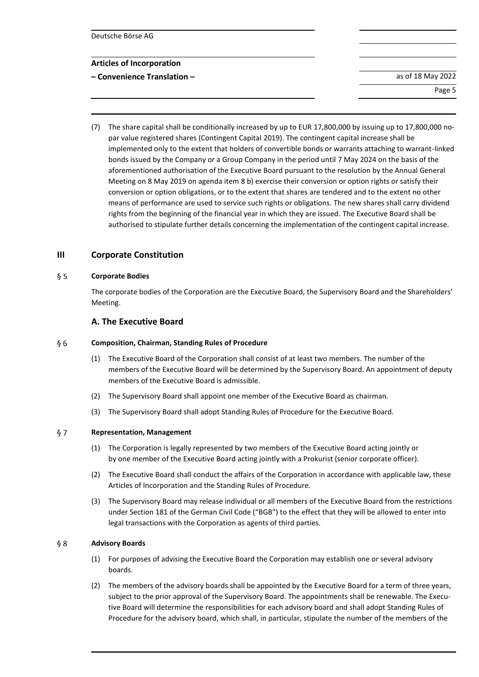**– Convenience Translation –** as of 18 May 2022

Page 5

(7) The share capital shall be conditionally increased by up to EUR 17,800,000 by issuing up to 17,800,000 nopar value registered shares (Contingent Capital 2019). The contingent capital increase shall be implemented only to the extent that holders of convertible bonds or warrants attaching to warrant-linked bonds issued by the Company or a Group Company in the period until 7 May 2024 on the basis of the aforementioned authorisation of the Executive Board pursuant to the resolution by the Annual General Meeting on 8 May 2019 on agenda item 8 b) exercise their conversion or option rights or satisfy their conversion or option obligations, or to the extent that shares are tendered and to the extent no other means of performance are used to service such rights or obligations. The new shares shall carry dividend rights from the beginning of the financial year in which they are issued. The Executive Board shall be authorised to stipulate further details concerning the implementation of the contingent capital increase.

# **III Corporate Constitution**

#### $§ 5$ **Corporate Bodies**

The corporate bodies of the Corporation are the Executive Board, the Supervisory Board and the Shareholders' Meeting.

# **A. The Executive Board**

#### $§6$ **Composition, Chairman, Standing Rules of Procedure**

- (1) The Executive Board of the Corporation shall consist of at least two members. The number of the members of the Executive Board will be determined by the Supervisory Board. An appointment of deputy members of the Executive Board is admissible.
- (2) The Supervisory Board shall appoint one member of the Executive Board as chairman.
- (3) The Supervisory Board shall adopt Standing Rules of Procedure for the Executive Board.

#### $§ 7$ **Representation, Management**

- (1) The Corporation is legally represented by two members of the Executive Board acting jointly or by one member of the Executive Board acting jointly with a Prokurist (senior corporate officer).
- (2) The Executive Board shall conduct the affairs of the Corporation in accordance with applicable law, these Articles of Incorporation and the Standing Rules of Procedure.
- (3) The Supervisory Board may release individual or all members of the Executive Board from the restrictions under Section 181 of the German Civil Code ("BGB") to the effect that they will be allowed to enter into legal transactions with the Corporation as agents of third parties.

#### $§ 8$ **Advisory Boards**

- (1) For purposes of advising the Executive Board the Corporation may establish one or several advisory boards.
- (2) The members of the advisory boards shall be appointed by the Executive Board for a term of three years, subject to the prior approval of the Supervisory Board. The appointments shall be renewable. The Executive Board will determine the responsibilities for each advisory board and shall adopt Standing Rules of Procedure for the advisory board, which shall, in particular, stipulate the number of the members of the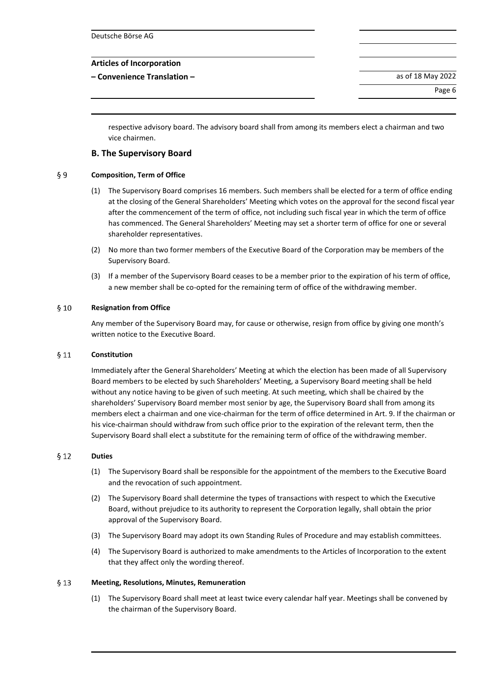**– Convenience Translation –** as of 18 May 2022

Page 6

respective advisory board. The advisory board shall from among its members elect a chairman and two vice chairmen.

# **B. The Supervisory Board**

#### $§9$ **Composition, Term of Office**

- (1) The Supervisory Board comprises 16 members. Such members shall be elected for a term of office ending at the closing of the General Shareholders' Meeting which votes on the approval for the second fiscal year after the commencement of the term of office, not including such fiscal year in which the term of office has commenced. The General Shareholders' Meeting may set a shorter term of office for one or several shareholder representatives.
- (2) No more than two former members of the Executive Board of the Corporation may be members of the Supervisory Board.
- (3) If a member of the Supervisory Board ceases to be a member prior to the expiration of his term of office, a new member shall be co-opted for the remaining term of office of the withdrawing member.

#### $§ 10$ **Resignation from Office**

Any member of the Supervisory Board may, for cause or otherwise, resign from office by giving one month's written notice to the Executive Board.

#### $§11$ **Constitution**

Immediately after the General Shareholders' Meeting at which the election has been made of all Supervisory Board members to be elected by such Shareholders' Meeting, a Supervisory Board meeting shall be held without any notice having to be given of such meeting. At such meeting, which shall be chaired by the shareholders' Supervisory Board member most senior by age, the Supervisory Board shall from among its members elect a chairman and one vice-chairman for the term of office determined in Art. 9. If the chairman or his vice-chairman should withdraw from such office prior to the expiration of the relevant term, then the Supervisory Board shall elect a substitute for the remaining term of office of the withdrawing member.

#### $§ 12$ **Duties**

- (1) The Supervisory Board shall be responsible for the appointment of the members to the Executive Board and the revocation of such appointment.
- (2) The Supervisory Board shall determine the types of transactions with respect to which the Executive Board, without prejudice to its authority to represent the Corporation legally, shall obtain the prior approval of the Supervisory Board.
- (3) The Supervisory Board may adopt its own Standing Rules of Procedure and may establish committees.
- (4) The Supervisory Board is authorized to make amendments to the Articles of Incorporation to the extent that they affect only the wording thereof.

#### $§$  13 **Meeting, Resolutions, Minutes, Remuneration**

(1) The Supervisory Board shall meet at least twice every calendar half year. Meetings shall be convened by the chairman of the Supervisory Board.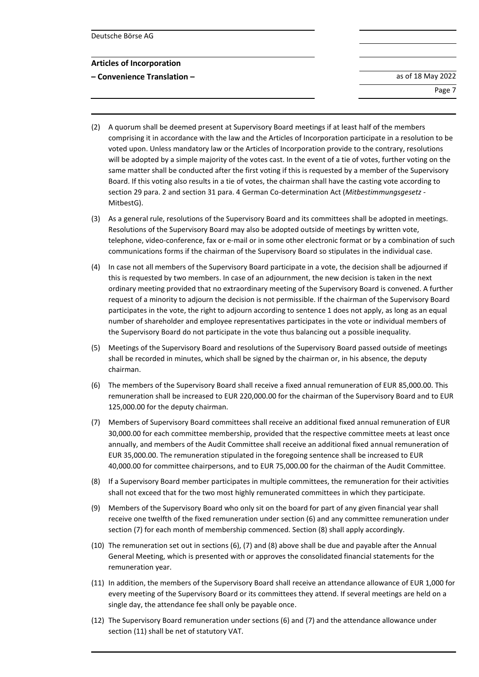**– Convenience Translation –** as of 18 May 2022

Page 7

- (2) A quorum shall be deemed present at Supervisory Board meetings if at least half of the members comprising it in accordance with the law and the Articles of Incorporation participate in a resolution to be voted upon. Unless mandatory law or the Articles of Incorporation provide to the contrary, resolutions will be adopted by a simple majority of the votes cast. In the event of a tie of votes, further voting on the same matter shall be conducted after the first voting if this is requested by a member of the Supervisory Board. If this voting also results in a tie of votes, the chairman shall have the casting vote according to section 29 para. 2 and section 31 para. 4 German Co-determination Act (*Mitbestimmungsgesetz* - MitbestG).
- (3) As a general rule, resolutions of the Supervisory Board and its committees shall be adopted in meetings. Resolutions of the Supervisory Board may also be adopted outside of meetings by written vote, telephone, video-conference, fax or e-mail or in some other electronic format or by a combination of such communications forms if the chairman of the Supervisory Board so stipulates in the individual case.
- (4) In case not all members of the Supervisory Board participate in a vote, the decision shall be adjourned if this is requested by two members. In case of an adjournment, the new decision is taken in the next ordinary meeting provided that no extraordinary meeting of the Supervisory Board is convened. A further request of a minority to adjourn the decision is not permissible. If the chairman of the Supervisory Board participates in the vote, the right to adjourn according to sentence 1 does not apply, as long as an equal number of shareholder and employee representatives participates in the vote or individual members of the Supervisory Board do not participate in the vote thus balancing out a possible inequality.
- (5) Meetings of the Supervisory Board and resolutions of the Supervisory Board passed outside of meetings shall be recorded in minutes, which shall be signed by the chairman or, in his absence, the deputy chairman.
- (6) The members of the Supervisory Board shall receive a fixed annual remuneration of EUR 85,000.00. This remuneration shall be increased to EUR 220,000.00 for the chairman of the Supervisory Board and to EUR 125,000.00 for the deputy chairman.
- (7) Members of Supervisory Board committees shall receive an additional fixed annual remuneration of EUR 30,000.00 for each committee membership, provided that the respective committee meets at least once annually, and members of the Audit Committee shall receive an additional fixed annual remuneration of EUR 35,000.00. The remuneration stipulated in the foregoing sentence shall be increased to EUR 40,000.00 for committee chairpersons, and to EUR 75,000.00 for the chairman of the Audit Committee.
- (8) If a Supervisory Board member participates in multiple committees, the remuneration for their activities shall not exceed that for the two most highly remunerated committees in which they participate.
- (9) Members of the Supervisory Board who only sit on the board for part of any given financial year shall receive one twelfth of the fixed remuneration under section (6) and any committee remuneration under section (7) for each month of membership commenced. Section (8) shall apply accordingly.
- (10) The remuneration set out in sections (6), (7) and (8) above shall be due and payable after the Annual General Meeting, which is presented with or approves the consolidated financial statements for the remuneration year.
- (11) In addition, the members of the Supervisory Board shall receive an attendance allowance of EUR 1,000 for every meeting of the Supervisory Board or its committees they attend. If several meetings are held on a single day, the attendance fee shall only be payable once.
- (12) The Supervisory Board remuneration under sections (6) and (7) and the attendance allowance under section (11) shall be net of statutory VAT.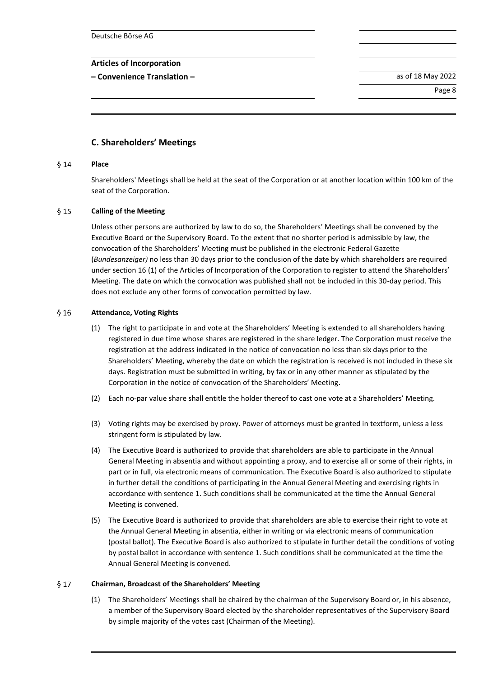Deutsche Börse AG

## **Articles of Incorporation**

**– Convenience Translation –** as of 18 May 2022

Page 8

# **C. Shareholders' Meetings**

#### **Place**  $$14$

Shareholders' Meetings shall be held at the seat of the Corporation or at another location within 100 km of the seat of the Corporation.

#### $§$  15 **Calling of the Meeting**

Unless other persons are authorized by law to do so, the Shareholders' Meetings shall be convened by the Executive Board or the Supervisory Board. To the extent that no shorter period is admissible by law, the convocation of the Shareholders' Meeting must be published in the electronic Federal Gazette (*Bundesanzeiger)* no less than 30 days prior to the conclusion of the date by which shareholders are required under section 16 (1) of the Articles of Incorporation of the Corporation to register to attend the Shareholders' Meeting. The date on which the convocation was published shall not be included in this 30-day period. This does not exclude any other forms of convocation permitted by law.

#### $§16$ **Attendance, Voting Rights**

- (1) The right to participate in and vote at the Shareholders' Meeting is extended to all shareholders having registered in due time whose shares are registered in the share ledger. The Corporation must receive the registration at the address indicated in the notice of convocation no less than six days prior to the Shareholders' Meeting, whereby the date on which the registration is received is not included in these six days. Registration must be submitted in writing, by fax or in any other manner as stipulated by the Corporation in the notice of convocation of the Shareholders' Meeting.
- (2) Each no-par value share shall entitle the holder thereof to cast one vote at a Shareholders' Meeting.
- (3) Voting rights may be exercised by proxy. Power of attorneys must be granted in textform, unless a less stringent form is stipulated by law.
- (4) The Executive Board is authorized to provide that shareholders are able to participate in the Annual General Meeting in absentia and without appointing a proxy, and to exercise all or some of their rights, in part or in full, via electronic means of communication. The Executive Board is also authorized to stipulate in further detail the conditions of participating in the Annual General Meeting and exercising rights in accordance with sentence 1. Such conditions shall be communicated at the time the Annual General Meeting is convened.
- (5) The Executive Board is authorized to provide that shareholders are able to exercise their right to vote at the Annual General Meeting in absentia, either in writing or via electronic means of communication (postal ballot). The Executive Board is also authorized to stipulate in further detail the conditions of voting by postal ballot in accordance with sentence 1. Such conditions shall be communicated at the time the Annual General Meeting is convened.

#### $617$ **Chairman, Broadcast of the Shareholders' Meeting**

(1) The Shareholders' Meetings shall be chaired by the chairman of the Supervisory Board or, in his absence, a member of the Supervisory Board elected by the shareholder representatives of the Supervisory Board by simple majority of the votes cast (Chairman of the Meeting).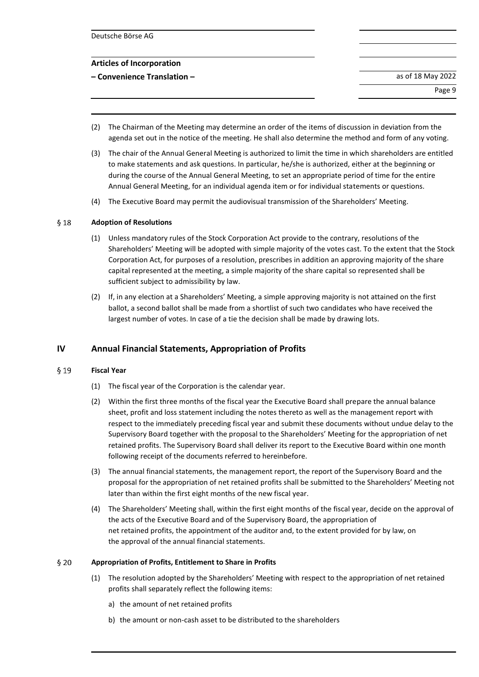**– Convenience Translation –** as of 18 May 2022

Page 9

- (2) The Chairman of the Meeting may determine an order of the items of discussion in deviation from the agenda set out in the notice of the meeting. He shall also determine the method and form of any voting.
- (3) The chair of the Annual General Meeting is authorized to limit the time in which shareholders are entitled to make statements and ask questions. In particular, he/she is authorized, either at the beginning or during the course of the Annual General Meeting, to set an appropriate period of time for the entire Annual General Meeting, for an individual agenda item or for individual statements or questions.
- (4) The Executive Board may permit the audiovisual transmission of the Shareholders' Meeting.

#### $§$  18 **Adoption of Resolutions**

- (1) Unless mandatory rules of the Stock Corporation Act provide to the contrary, resolutions of the Shareholders' Meeting will be adopted with simple majority of the votes cast. To the extent that the Stock Corporation Act, for purposes of a resolution, prescribes in addition an approving majority of the share capital represented at the meeting, a simple majority of the share capital so represented shall be sufficient subject to admissibility by law.
- (2) If, in any election at a Shareholders' Meeting, a simple approving majority is not attained on the first ballot, a second ballot shall be made from a shortlist of such two candidates who have received the largest number of votes. In case of a tie the decision shall be made by drawing lots.

# **IV Annual Financial Statements, Appropriation of Profits**

#### $§$  19 **Fiscal Year**

- (1) The fiscal year of the Corporation is the calendar year.
- (2) Within the first three months of the fiscal year the Executive Board shall prepare the annual balance sheet, profit and loss statement including the notes thereto as well as the management report with respect to the immediately preceding fiscal year and submit these documents without undue delay to the Supervisory Board together with the proposal to the Shareholders' Meeting for the appropriation of net retained profits. The Supervisory Board shall deliver its report to the Executive Board within one month following receipt of the documents referred to hereinbefore.
- (3) The annual financial statements, the management report, the report of the Supervisory Board and the proposal for the appropriation of net retained profits shall be submitted to the Shareholders' Meeting not later than within the first eight months of the new fiscal year.
- (4) The Shareholders' Meeting shall, within the first eight months of the fiscal year, decide on the approval of the acts of the Executive Board and of the Supervisory Board, the appropriation of net retained profits, the appointment of the auditor and, to the extent provided for by law, on the approval of the annual financial statements.

#### $$20$ **Appropriation of Profits, Entitlement to Share in Profits**

- (1) The resolution adopted by the Shareholders' Meeting with respect to the appropriation of net retained profits shall separately reflect the following items:
	- a) the amount of net retained profits
	- b) the amount or non-cash asset to be distributed to the shareholders